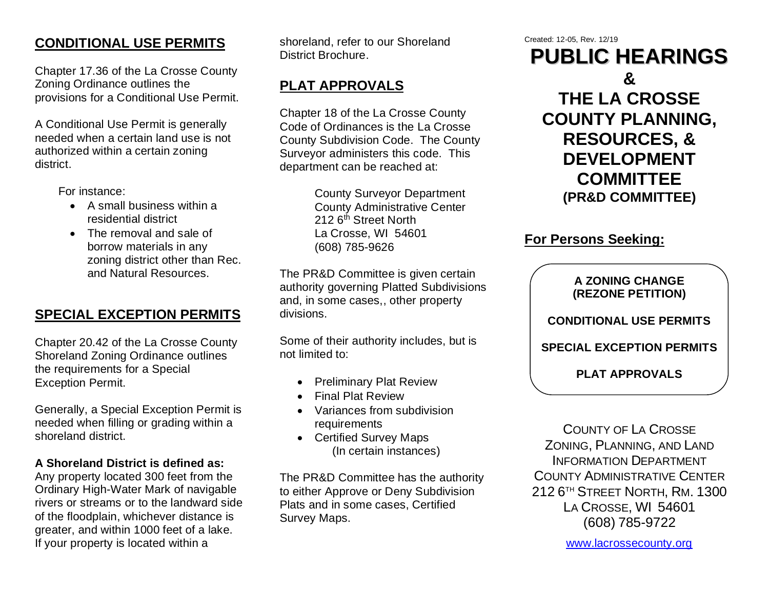## **CONDITIONAL USE PERMITS**

Chapter 17.36 of the La Crosse County Zoning Ordinance outlines the provisions for a Conditional Use Permit.

A Conditional Use Permit is generally needed when a certain land use is not authorized within a certain zoning district.

For instance:

- A small business within a residential district
- The removal and sale of borrow materials in any zoning district other than Rec. and Natural Resources.

## **SPECIAL EXCEPTION PERMITS**

Chapter 20.42 of the La Crosse County Shoreland Zoning Ordinance outlines the requirements for a Special Exception Permit.

Generally, a Special Exception Permit is needed when filling or grading within a shoreland district.

#### **A Shoreland District is defined as:**

Any property located 300 feet from the Ordinary High-Water Mark of navigable rivers or streams or to the landward side of the floodplain, whichever distance is greater, and within 1000 feet of a lake. If your property is located within a

shoreland, refer to our Shoreland District Brochure.

# **PLAT APPROVALS**

Chapter 18 of the La Crosse County Code of Ordinances is the La Crosse County Subdivision Code. The County Surveyor administers this code. This department can be reached at:

> County Surveyor Department County Administrative Center 212 6<sup>th</sup> Street North La Crosse, WI 54601 (608) 785-9626

The PR&D Committee is given certain authority governing Platted Subdivisions and, in some cases,, other property divisions.

Some of their authority includes, but is not limited to:

- Preliminary Plat Review
- Final Plat Review
- Variances from subdivision requirements
- Certified Survey Maps (In certain instances)

The PR&D Committee has the authority to either Approve or Deny Subdivision Plats and in some cases, Certified Survey Maps.

Created: 12-05, Rev. 12/19

**PUBLIC HEARINGS & THE LA CROSSE COUNTY PLANNING, RESOURCES, & DEVELOPMENT COMMITTEE (PR&D COMMITTEE)**

## **For Persons Seeking:**

**A ZONING CHANGE (REZONE PETITION)**

**CONDITIONAL USE PERMITS**

**SPECIAL EXCEPTION PERMITS**

**PLAT APPROVALS**

COUNTY OF LA CROSSE ZONING, PLANNING, AND LAND INFORMATION DEPARTMENT COUNTY ADMINISTRATIVE CENTER 212 6 TH STREET NORTH, RM. 1300 LA CROSSE, WI 54601 (608) 785-9722